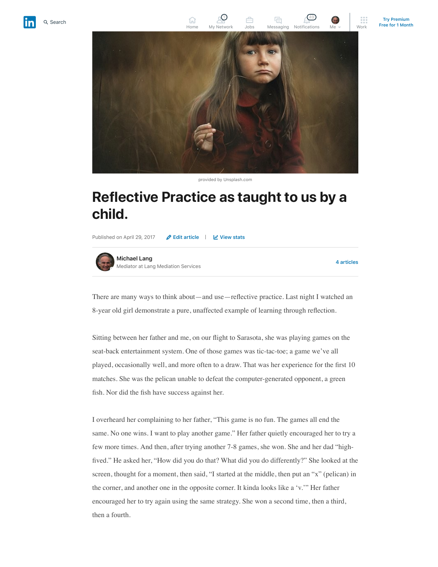

1) and  $\Box$  (49

provided by Unsplash.com

## **Reflective Practice as taught to us by a child.**

Published on April 29, 2017 **[Edit article](https://www.linkedin.com/post/edit/6264261285769150464)** | **[View stats](https://www.linkedin.com/pulse/reflective-practice-taught-us-child-michael-lang/ca/post-analytics/urn:li:linkedInArticle:6264261285769150464/)**



**[4 articles](https://www.linkedin.com/in/mediatorlang/detail/recent-activity/posts/)**

There are many ways to think about—and use—reflective practice. Last night I watched an 8-year old girl demonstrate a pure, unaffected example of learning through reflection.

Sitting between her father and me, on our flight to Sarasota, she was playing games on the seat-back entertainment system. One of those games was tic-tac-toe; a game we've all played, occasionally well, and more often to a draw. That was her experience for the first 10 matches. She was the pelican unable to defeat the computer-generated opponent, a green fish. Nor did the fish have success against her.

I overheard her complaining to her father, "This game is no fun. The games all end the same. No one wins. I want to play another game." Her father quietly encouraged her to try a few more times. And then, after trying another 7-8 games, she won. She and her dad "highfived." He asked her, "How did you do that? What did you do differently?" She looked at the screen, thought for a moment, then said, "I started at the middle, then put an "x" (pelican) in the corner, and another one in the opposite corner. It kinda looks like a 'v.'" Her father encouraged her to try again using the same strategy. She won a second time, then a third, then a fourth.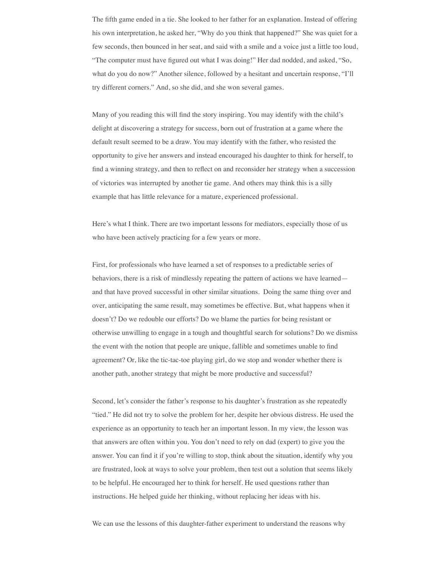The fifth game ended in a tie. She looked to her father for an explanation. Instead of offering his own interpretation, he asked her, "Why do you think that happened?" She was quiet for a few seconds, then bounced in her seat, and said with a smile and a voice just a little too loud, "The computer must have figured out what I was doing!" Her dad nodded, and asked, "So, what do you do now?" Another silence, followed by a hesitant and uncertain response, "I'll try different corners." And, so she did, and she won several games.

Many of you reading this will find the story inspiring. You may identify with the child's delight at discovering a strategy for success, born out of frustration at a game where the default result seemed to be a draw. You may identify with the father, who resisted the opportunity to give her answers and instead encouraged his daughter to think for herself, to find a winning strategy, and then to reflect on and reconsider her strategy when a succession of victories was interrupted by another tie game. And others may think this is a silly example that has little relevance for a mature, experienced professional.

Here's what I think. There are two important lessons for mediators, especially those of us who have been actively practicing for a few years or more.

First, for professionals who have learned a set of responses to a predictable series of behaviors, there is a risk of mindlessly repeating the pattern of actions we have learned and that have proved successful in other similar situations. Doing the same thing over and over, anticipating the same result, may sometimes be effective. But, what happens when it doesn't? Do we redouble our efforts? Do we blame the parties for being resistant or otherwise unwilling to engage in a tough and thoughtful search for solutions? Do we dismiss the event with the notion that people are unique, fallible and sometimes unable to find agreement? Or, like the tic-tac-toe playing girl, do we stop and wonder whether there is another path, another strategy that might be more productive and successful?

Second, let's consider the father's response to his daughter's frustration as she repeatedly "tied." He did not try to solve the problem for her, despite her obvious distress. He used the experience as an opportunity to teach her an important lesson. In my view, the lesson was that answers are often within you. You don't need to rely on dad (expert) to give you the answer. You can find it if you're willing to stop, think about the situation, identify why you are frustrated, look at ways to solve your problem, then test out a solution that seems likely to be helpful. He encouraged her to think for herself. He used questions rather than instructions. He helped guide her thinking, without replacing her ideas with his.

We can use the lessons of this daughter-father experiment to understand the reasons why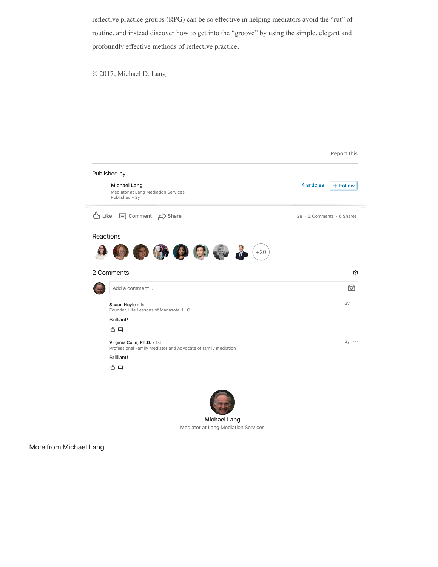reflective practice groups (RPG) can be so effective in helping mediators avoid the "rut" of routine, and instead discover how to get into the "groove" by using the simple, elegant and profoundly effective methods of reflective practice.

© 2017, Michael D. Lang

|                                                                              | Report this                            |
|------------------------------------------------------------------------------|----------------------------------------|
| Published by                                                                 |                                        |
| <b>Michael Lang</b><br>Mediator at Lang Mediation Services<br>Published • 2y | 4 articles<br>$+$ Follow               |
| Like $\Box$ Comment $\leftrightarrow$ Share                                  | $28 \cdot 2$ Comments $\cdot$ 6 Shares |
| Reactions                                                                    |                                        |
| 日常日日日子<br>$+20$                                                              |                                        |
| 2 Comments                                                                   | છ                                      |
| Add a comment                                                                | ГŌ                                     |
| Shaun Hoyle . 1st<br>Founder, Life Lessons of Manasota, LLC                  | $2v \cdots$                            |
| Brilliant!                                                                   |                                        |
| 신티                                                                           |                                        |
| Virginia Colin, Ph.D. . 1st                                                  | $2v \cdots$                            |
| Professional Family Mediator and Advocate of family mediation<br>Brilliant!  |                                        |

**[Michael Lang](https://www.linkedin.com/in/mediatorlang/)** Mediator at Lang Mediation Services

More from Michael Lang